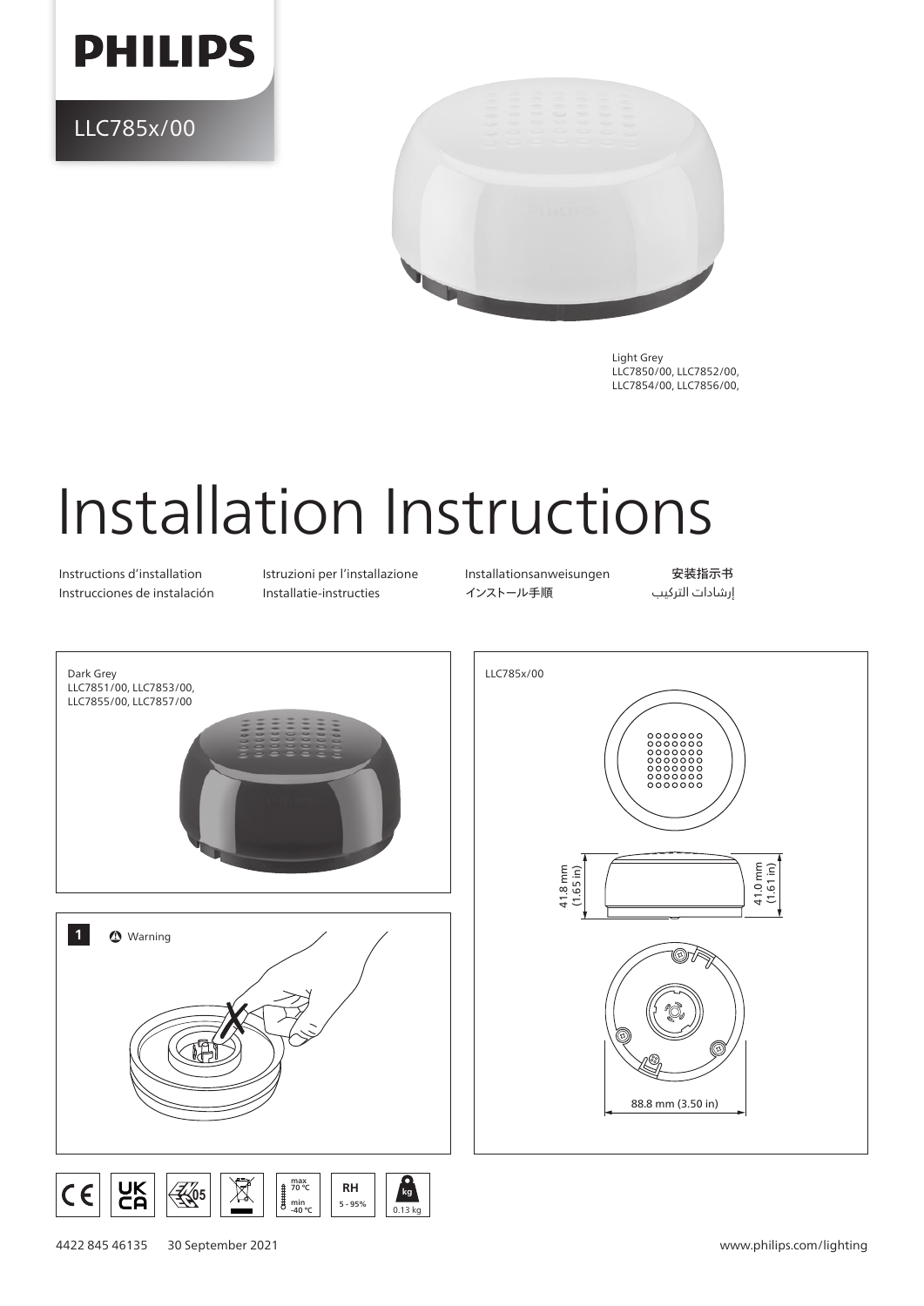

LLC785x/00



Light Grey LLC7850/00, LLC7852/00, LLC7854/00, LLC7856/00,

## Installation Instructions

Instructions d'installation Istruzioni per l'installazione Installationsanweisungen 安装指示书

Instrucciones de instalación Installatie-instructies インストール手順 التركيب إرشادات